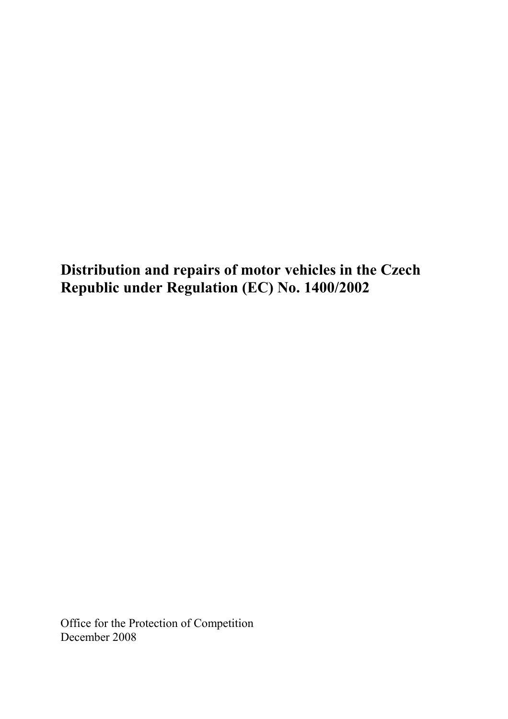Distribution and repairs of motor vehicles in the Czech Republic under Regulation (EC) No. 1400/2002

Office for the Protection of Competition December 2008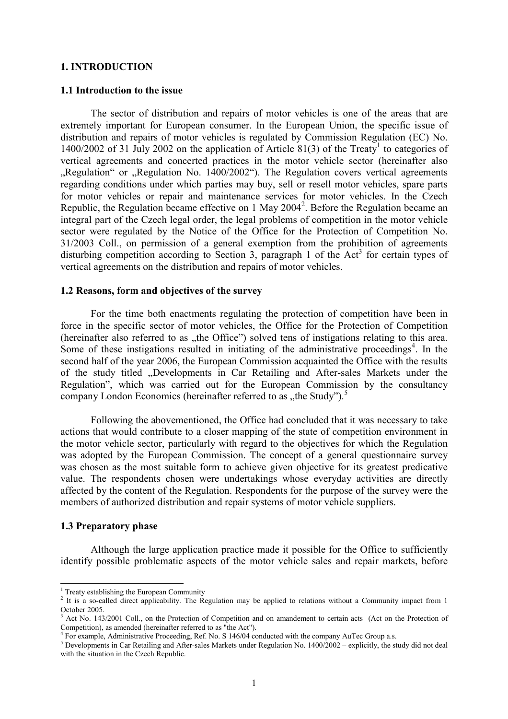#### 1. INTRODUCTION

#### 1.1 Introduction to the issue

 The sector of distribution and repairs of motor vehicles is one of the areas that are extremely important for European consumer. In the European Union, the specific issue of distribution and repairs of motor vehicles is regulated by Commission Regulation (EC) No. 1400/2002 of 31 July 2002 on the application of Article 81(3) of the Treaty<sup>1</sup> to categories of vertical agreements and concerted practices in the motor vehicle sector (hereinafter also "Regulation" or "Regulation No. 1400/2002"). The Regulation covers vertical agreements regarding conditions under which parties may buy, sell or resell motor vehicles, spare parts for motor vehicles or repair and maintenance services for motor vehicles. In the Czech Republic, the Regulation became effective on 1 May 2004<sup>2</sup>. Before the Regulation became an integral part of the Czech legal order, the legal problems of competition in the motor vehicle sector were regulated by the Notice of the Office for the Protection of Competition No. 31/2003 Coll., on permission of a general exemption from the prohibition of agreements disturbing competition according to Section 3, paragraph 1 of the Act<sup>3</sup> for certain types of vertical agreements on the distribution and repairs of motor vehicles.

#### 1.2 Reasons, form and objectives of the survey

 For the time both enactments regulating the protection of competition have been in force in the specific sector of motor vehicles, the Office for the Protection of Competition (hereinafter also referred to as  $h$ the Office") solved tens of instigations relating to this area. Some of these instigations resulted in initiating of the administrative proceedings<sup>4</sup>. In the second half of the year 2006, the European Commission acquainted the Office with the results of the study titled "Developments in Car Retailing and After-sales Markets under the Regulation", which was carried out for the European Commission by the consultancy company London Economics (hereinafter referred to as "the Study").<sup>5</sup>

 Following the abovementioned, the Office had concluded that it was necessary to take actions that would contribute to a closer mapping of the state of competition environment in the motor vehicle sector, particularly with regard to the objectives for which the Regulation was adopted by the European Commission. The concept of a general questionnaire survey was chosen as the most suitable form to achieve given objective for its greatest predicative value. The respondents chosen were undertakings whose everyday activities are directly affected by the content of the Regulation. Respondents for the purpose of the survey were the members of authorized distribution and repair systems of motor vehicle suppliers.

#### 1.3 Preparatory phase

 $\overline{a}$ 

 Although the large application practice made it possible for the Office to sufficiently identify possible problematic aspects of the motor vehicle sales and repair markets, before

<sup>&</sup>lt;sup>1</sup> Treaty establishing the European Community

<sup>2</sup> It is a so-called direct applicability. The Regulation may be applied to relations without a Community impact from 1 October 2005.

<sup>3</sup> Act No. 143/2001 Coll., on the Protection of Competition and on amandement to certain acts (Act on the Protection of Competition), as amended (hereinafter referred to as "the Act").<br><sup>4</sup> For example, Administrative Proceeding, Ref. No. S 146/04 conducted with the company AuTec Group a.s.

 $5$  Developments in Car Retailing and After-sales Markets under Regulation No. 1400/2002 – explicitly, the study did not deal with the situation in the Czech Republic.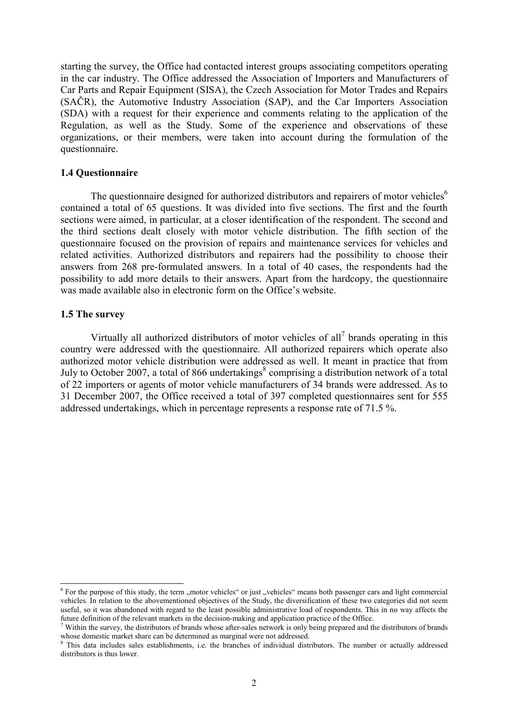starting the survey, the Office had contacted interest groups associating competitors operating in the car industry. The Office addressed the Association of Importers and Manufacturers of Car Parts and Repair Equipment (SISA), the Czech Association for Motor Trades and Repairs (SAČR), the Automotive Industry Association (SAP), and the Car Importers Association (SDA) with a request for their experience and comments relating to the application of the Regulation, as well as the Study. Some of the experience and observations of these organizations, or their members, were taken into account during the formulation of the questionnaire.

#### 1.4 Questionnaire

The questionnaire designed for authorized distributors and repairers of motor vehicles<sup>6</sup> contained a total of 65 questions. It was divided into five sections. The first and the fourth sections were aimed, in particular, at a closer identification of the respondent. The second and the third sections dealt closely with motor vehicle distribution. The fifth section of the questionnaire focused on the provision of repairs and maintenance services for vehicles and related activities. Authorized distributors and repairers had the possibility to choose their answers from 268 pre-formulated answers. In a total of 40 cases, the respondents had the possibility to add more details to their answers. Apart from the hardcopy, the questionnaire was made available also in electronic form on the Office's website.

#### 1.5 The survey

 $\overline{a}$ 

Virtually all authorized distributors of motor vehicles of all<sup>7</sup> brands operating in this country were addressed with the questionnaire. All authorized repairers which operate also authorized motor vehicle distribution were addressed as well. It meant in practice that from July to October 2007, a total of 866 undertakings<sup>8</sup> comprising a distribution network of a total of 22 importers or agents of motor vehicle manufacturers of 34 brands were addressed. As to 31 December 2007, the Office received a total of 397 completed questionnaires sent for 555 addressed undertakings, which in percentage represents a response rate of 71.5 %.

 $6$  For the purpose of this study, the term "motor vehicles" or just "vehicles" means both passenger cars and light commercial vehicles. In relation to the abovementioned objectives of the Study, the diversification of these two categories did not seem useful, so it was abandoned with regard to the least possible administrative load of respondents. This in no way affects the future definition of the relevant markets in the decision-making and application practice of the Office.

Within the survey, the distributors of brands whose after-sales network is only being prepared and the distributors of brands whose domestic market share can be determined as marginal were not addressed.

<sup>&</sup>lt;sup>8</sup> This data includes sales establishments, i.e. the branches of individual distributors. The number or actually addressed distributors is thus lower.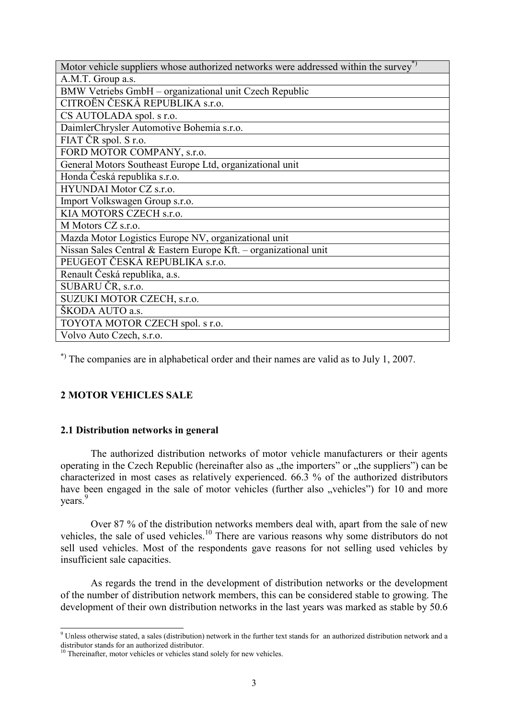| Motor vehicle suppliers whose authorized networks were addressed within the survey <sup>*</sup> |
|-------------------------------------------------------------------------------------------------|
| A.M.T. Group a.s.                                                                               |
| BMW Vetriebs GmbH - organizational unit Czech Republic                                          |
| CITROËN ČESKÁ REPUBLIKA s.r.o.                                                                  |
| CS AUTOLADA spol. s r.o.                                                                        |
| DaimlerChrysler Automotive Bohemia s.r.o.                                                       |
| FIAT ČR spol. S r.o.                                                                            |
| FORD MOTOR COMPANY, s.r.o.                                                                      |
| General Motors Southeast Europe Ltd, organizational unit                                        |
| Honda Česká republika s.r.o.                                                                    |
| HYUNDAI Motor CZ s.r.o.                                                                         |
| Import Volkswagen Group s.r.o.                                                                  |
| KIA MOTORS CZECH s.r.o.                                                                         |
| M Motors CZ s.r.o.                                                                              |
| Mazda Motor Logistics Europe NV, organizational unit                                            |
| Nissan Sales Central & Eastern Europe Kft. – organizational unit                                |
| PEUGEOT ČESKÁ REPUBLIKA s.r.o.                                                                  |
| Renault Česká republika, a.s.                                                                   |
| SUBARU ČR, s.r.o.                                                                               |
| SUZUKI MOTOR CZECH, s.r.o.                                                                      |
| ŠKODA AUTO a.s.                                                                                 |
| TOYOTA MOTOR CZECH spol. s r.o.                                                                 |
| Volvo Auto Czech, s.r.o.                                                                        |

\*) The companies are in alphabetical order and their names are valid as to July 1, 2007.

# 2 MOTOR VEHICLES SALE

 $\overline{a}$ 

# 2.1 Distribution networks in general

 The authorized distribution networks of motor vehicle manufacturers or their agents operating in the Czech Republic (hereinafter also as "the importers" or "the suppliers") can be characterized in most cases as relatively experienced. 66.3 % of the authorized distributors have been engaged in the sale of motor vehicles (further also "vehicles") for 10 and more years.<sup>9</sup>

 Over 87 % of the distribution networks members deal with, apart from the sale of new vehicles, the sale of used vehicles.<sup>10</sup> There are various reasons why some distributors do not sell used vehicles. Most of the respondents gave reasons for not selling used vehicles by insufficient sale capacities.

 As regards the trend in the development of distribution networks or the development of the number of distribution network members, this can be considered stable to growing. The development of their own distribution networks in the last years was marked as stable by 50.6

 $9$  Unless otherwise stated, a sales (distribution) network in the further text stands for an authorized distribution network and a distributor stands for an authorized distributor.

<sup>&</sup>lt;sup>10</sup> Thereinafter, motor vehicles or vehicles stand solely for new vehicles.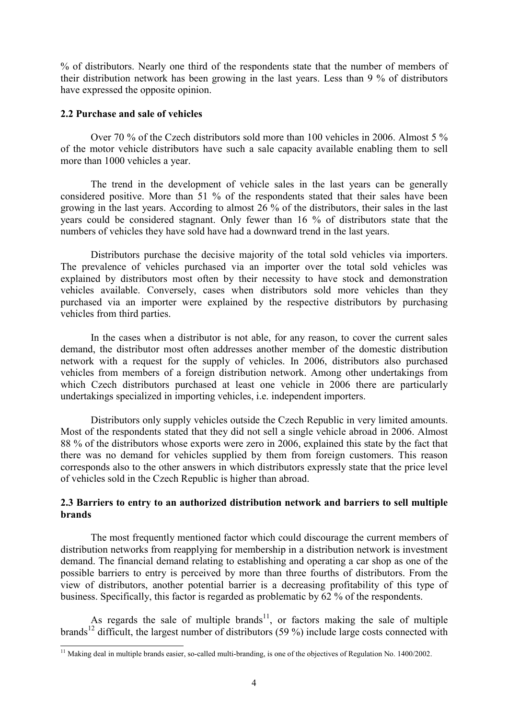% of distributors. Nearly one third of the respondents state that the number of members of their distribution network has been growing in the last years. Less than 9 % of distributors have expressed the opposite opinion.

## 2.2 Purchase and sale of vehicles

l

 Over 70 % of the Czech distributors sold more than 100 vehicles in 2006. Almost 5 % of the motor vehicle distributors have such a sale capacity available enabling them to sell more than 1000 vehicles a year.

 The trend in the development of vehicle sales in the last years can be generally considered positive. More than 51 % of the respondents stated that their sales have been growing in the last years. According to almost 26 % of the distributors, their sales in the last years could be considered stagnant. Only fewer than 16 % of distributors state that the numbers of vehicles they have sold have had a downward trend in the last years.

Distributors purchase the decisive majority of the total sold vehicles via importers. The prevalence of vehicles purchased via an importer over the total sold vehicles was explained by distributors most often by their necessity to have stock and demonstration vehicles available. Conversely, cases when distributors sold more vehicles than they purchased via an importer were explained by the respective distributors by purchasing vehicles from third parties.

 In the cases when a distributor is not able, for any reason, to cover the current sales demand, the distributor most often addresses another member of the domestic distribution network with a request for the supply of vehicles. In 2006, distributors also purchased vehicles from members of a foreign distribution network. Among other undertakings from which Czech distributors purchased at least one vehicle in 2006 there are particularly undertakings specialized in importing vehicles, i.e. independent importers.

 Distributors only supply vehicles outside the Czech Republic in very limited amounts. Most of the respondents stated that they did not sell a single vehicle abroad in 2006. Almost 88 % of the distributors whose exports were zero in 2006, explained this state by the fact that there was no demand for vehicles supplied by them from foreign customers. This reason corresponds also to the other answers in which distributors expressly state that the price level of vehicles sold in the Czech Republic is higher than abroad.

# 2.3 Barriers to entry to an authorized distribution network and barriers to sell multiple brands

 The most frequently mentioned factor which could discourage the current members of distribution networks from reapplying for membership in a distribution network is investment demand. The financial demand relating to establishing and operating a car shop as one of the possible barriers to entry is perceived by more than three fourths of distributors. From the view of distributors, another potential barrier is a decreasing profitability of this type of business. Specifically, this factor is regarded as problematic by 62 % of the respondents.

As regards the sale of multiple brands<sup>11</sup>, or factors making the sale of multiple brands<sup>12</sup> difficult, the largest number of distributors (59 %) include large costs connected with

<sup>&</sup>lt;sup>11</sup> Making deal in multiple brands easier, so-called multi-branding, is one of the objectives of Regulation No.  $1400/2002$ .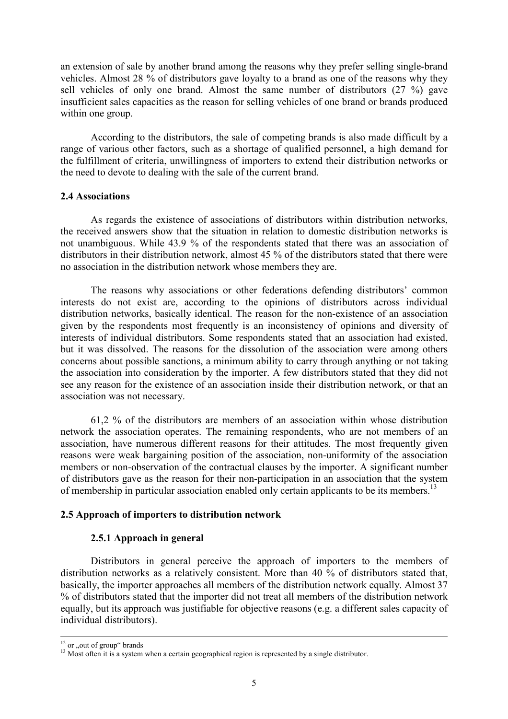an extension of sale by another brand among the reasons why they prefer selling single-brand vehicles. Almost 28 % of distributors gave loyalty to a brand as one of the reasons why they sell vehicles of only one brand. Almost the same number of distributors (27 %) gave insufficient sales capacities as the reason for selling vehicles of one brand or brands produced within one group.

 According to the distributors, the sale of competing brands is also made difficult by a range of various other factors, such as a shortage of qualified personnel, a high demand for the fulfillment of criteria, unwillingness of importers to extend their distribution networks or the need to devote to dealing with the sale of the current brand.

## 2.4 Associations

 As regards the existence of associations of distributors within distribution networks, the received answers show that the situation in relation to domestic distribution networks is not unambiguous. While 43.9 % of the respondents stated that there was an association of distributors in their distribution network, almost 45 % of the distributors stated that there were no association in the distribution network whose members they are.

 The reasons why associations or other federations defending distributors' common interests do not exist are, according to the opinions of distributors across individual distribution networks, basically identical. The reason for the non-existence of an association given by the respondents most frequently is an inconsistency of opinions and diversity of interests of individual distributors. Some respondents stated that an association had existed, but it was dissolved. The reasons for the dissolution of the association were among others concerns about possible sanctions, a minimum ability to carry through anything or not taking the association into consideration by the importer. A few distributors stated that they did not see any reason for the existence of an association inside their distribution network, or that an association was not necessary.

 61,2 % of the distributors are members of an association within whose distribution network the association operates. The remaining respondents, who are not members of an association, have numerous different reasons for their attitudes. The most frequently given reasons were weak bargaining position of the association, non-uniformity of the association members or non-observation of the contractual clauses by the importer. A significant number of distributors gave as the reason for their non-participation in an association that the system of membership in particular association enabled only certain applicants to be its members.<sup>13</sup>

## 2.5 Approach of importers to distribution network

## 2.5.1 Approach in general

 Distributors in general perceive the approach of importers to the members of distribution networks as a relatively consistent. More than 40 % of distributors stated that, basically, the importer approaches all members of the distribution network equally. Almost 37 % of distributors stated that the importer did not treat all members of the distribution network equally, but its approach was justifiable for objective reasons (e.g. a different sales capacity of individual distributors).

 $^{12}$  or ,,<br>out of group" brands

<sup>&</sup>lt;sup>13</sup> Most often it is a system when a certain geographical region is represented by a single distributor.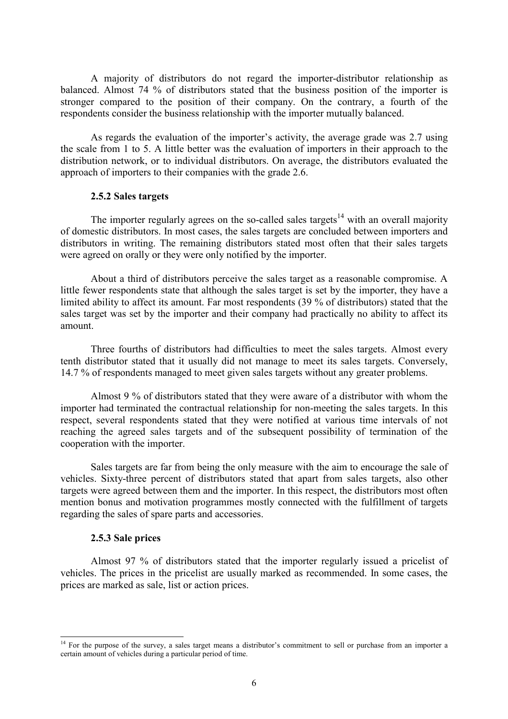A majority of distributors do not regard the importer-distributor relationship as balanced. Almost 74 % of distributors stated that the business position of the importer is stronger compared to the position of their company. On the contrary, a fourth of the respondents consider the business relationship with the importer mutually balanced.

 As regards the evaluation of the importer's activity, the average grade was 2.7 using the scale from 1 to 5. A little better was the evaluation of importers in their approach to the distribution network, or to individual distributors. On average, the distributors evaluated the approach of importers to their companies with the grade 2.6.

#### 2.5.2 Sales targets

The importer regularly agrees on the so-called sales targets<sup>14</sup> with an overall majority of domestic distributors. In most cases, the sales targets are concluded between importers and distributors in writing. The remaining distributors stated most often that their sales targets were agreed on orally or they were only notified by the importer.

 About a third of distributors perceive the sales target as a reasonable compromise. A little fewer respondents state that although the sales target is set by the importer, they have a limited ability to affect its amount. Far most respondents (39 % of distributors) stated that the sales target was set by the importer and their company had practically no ability to affect its amount.

 Three fourths of distributors had difficulties to meet the sales targets. Almost every tenth distributor stated that it usually did not manage to meet its sales targets. Conversely, 14.7 % of respondents managed to meet given sales targets without any greater problems.

 Almost 9 % of distributors stated that they were aware of a distributor with whom the importer had terminated the contractual relationship for non-meeting the sales targets. In this respect, several respondents stated that they were notified at various time intervals of not reaching the agreed sales targets and of the subsequent possibility of termination of the cooperation with the importer.

 Sales targets are far from being the only measure with the aim to encourage the sale of vehicles. Sixty-three percent of distributors stated that apart from sales targets, also other targets were agreed between them and the importer. In this respect, the distributors most often mention bonus and motivation programmes mostly connected with the fulfillment of targets regarding the sales of spare parts and accessories.

## 2.5.3 Sale prices

l

 Almost 97 % of distributors stated that the importer regularly issued a pricelist of vehicles. The prices in the pricelist are usually marked as recommended. In some cases, the prices are marked as sale, list or action prices.

<sup>&</sup>lt;sup>14</sup> For the purpose of the survey, a sales target means a distributor's commitment to sell or purchase from an importer a certain amount of vehicles during a particular period of time.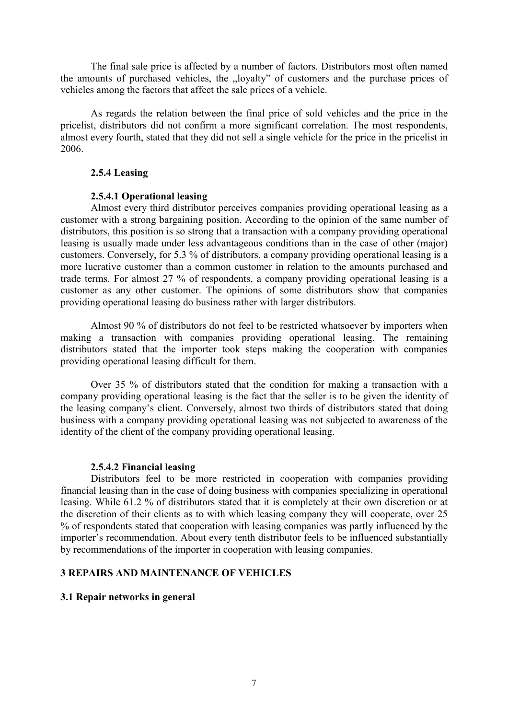The final sale price is affected by a number of factors. Distributors most often named the amounts of purchased vehicles, the "loyalty" of customers and the purchase prices of vehicles among the factors that affect the sale prices of a vehicle.

 As regards the relation between the final price of sold vehicles and the price in the pricelist, distributors did not confirm a more significant correlation. The most respondents, almost every fourth, stated that they did not sell a single vehicle for the price in the pricelist in 2006.

## 2.5.4 Leasing

# 2.5.4.1 Operational leasing

 Almost every third distributor perceives companies providing operational leasing as a customer with a strong bargaining position. According to the opinion of the same number of distributors, this position is so strong that a transaction with a company providing operational leasing is usually made under less advantageous conditions than in the case of other (major) customers. Conversely, for 5.3 % of distributors, a company providing operational leasing is a more lucrative customer than a common customer in relation to the amounts purchased and trade terms. For almost 27 % of respondents, a company providing operational leasing is a customer as any other customer. The opinions of some distributors show that companies providing operational leasing do business rather with larger distributors.

 Almost 90 % of distributors do not feel to be restricted whatsoever by importers when making a transaction with companies providing operational leasing. The remaining distributors stated that the importer took steps making the cooperation with companies providing operational leasing difficult for them.

 Over 35 % of distributors stated that the condition for making a transaction with a company providing operational leasing is the fact that the seller is to be given the identity of the leasing company's client. Conversely, almost two thirds of distributors stated that doing business with a company providing operational leasing was not subjected to awareness of the identity of the client of the company providing operational leasing.

## 2.5.4.2 Financial leasing

 Distributors feel to be more restricted in cooperation with companies providing financial leasing than in the case of doing business with companies specializing in operational leasing. While 61.2 % of distributors stated that it is completely at their own discretion or at the discretion of their clients as to with which leasing company they will cooperate, over 25 % of respondents stated that cooperation with leasing companies was partly influenced by the importer's recommendation. About every tenth distributor feels to be influenced substantially by recommendations of the importer in cooperation with leasing companies.

## 3 REPAIRS AND MAINTENANCE OF VEHICLES

# 3.1 Repair networks in general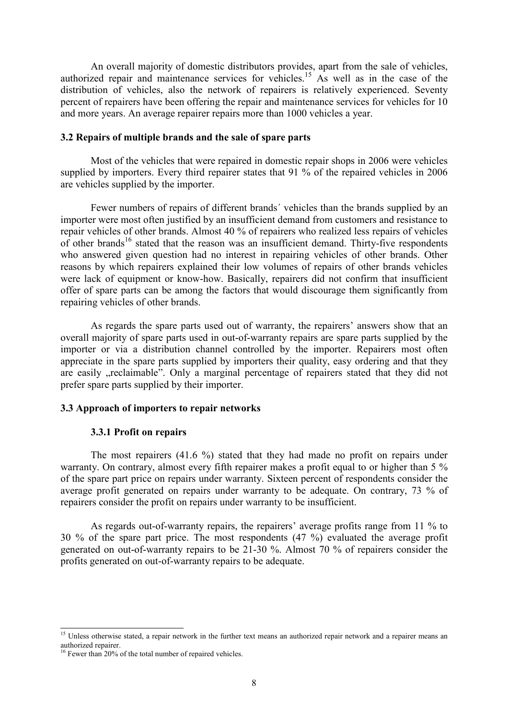An overall majority of domestic distributors provides, apart from the sale of vehicles, authorized repair and maintenance services for vehicles.<sup>15</sup> As well as in the case of the distribution of vehicles, also the network of repairers is relatively experienced. Seventy percent of repairers have been offering the repair and maintenance services for vehicles for 10 and more years. An average repairer repairs more than 1000 vehicles a year.

## 3.2 Repairs of multiple brands and the sale of spare parts

 Most of the vehicles that were repaired in domestic repair shops in 2006 were vehicles supplied by importers. Every third repairer states that 91 % of the repaired vehicles in 2006 are vehicles supplied by the importer.

 Fewer numbers of repairs of different brands´ vehicles than the brands supplied by an importer were most often justified by an insufficient demand from customers and resistance to repair vehicles of other brands. Almost 40 % of repairers who realized less repairs of vehicles of other brands<sup>16</sup> stated that the reason was an insufficient demand. Thirty-five respondents who answered given question had no interest in repairing vehicles of other brands. Other reasons by which repairers explained their low volumes of repairs of other brands vehicles were lack of equipment or know-how. Basically, repairers did not confirm that insufficient offer of spare parts can be among the factors that would discourage them significantly from repairing vehicles of other brands.

 As regards the spare parts used out of warranty, the repairers' answers show that an overall majority of spare parts used in out-of-warranty repairs are spare parts supplied by the importer or via a distribution channel controlled by the importer. Repairers most often appreciate in the spare parts supplied by importers their quality, easy ordering and that they are easily "reclaimable". Only a marginal percentage of repairers stated that they did not prefer spare parts supplied by their importer.

## 3.3 Approach of importers to repair networks

## 3.3.1 Profit on repairs

 The most repairers (41.6 %) stated that they had made no profit on repairs under warranty. On contrary, almost every fifth repairer makes a profit equal to or higher than 5 % of the spare part price on repairs under warranty. Sixteen percent of respondents consider the average profit generated on repairs under warranty to be adequate. On contrary, 73 % of repairers consider the profit on repairs under warranty to be insufficient.

 As regards out-of-warranty repairs, the repairers' average profits range from 11 % to 30 % of the spare part price. The most respondents (47 %) evaluated the average profit generated on out-of-warranty repairs to be 21-30 %. Almost 70 % of repairers consider the profits generated on out-of-warranty repairs to be adequate.

 $\overline{a}$ 

<sup>&</sup>lt;sup>15</sup> Unless otherwise stated, a repair network in the further text means an authorized repair network and a repairer means an authorized repairer.

<sup>&</sup>lt;sup>16</sup> Fewer than 20% of the total number of repaired vehicles.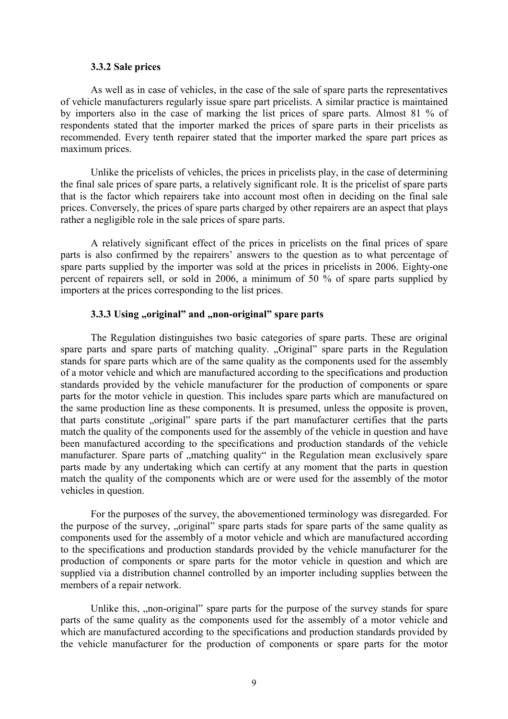#### 3.3.2 Sale prices

 As well as in case of vehicles, in the case of the sale of spare parts the representatives of vehicle manufacturers regularly issue spare part pricelists. A similar practice is maintained by importers also in the case of marking the list prices of spare parts. Almost 81 % of respondents stated that the importer marked the prices of spare parts in their pricelists as recommended. Every tenth repairer stated that the importer marked the spare part prices as maximum prices.

 Unlike the pricelists of vehicles, the prices in pricelists play, in the case of determining the final sale prices of spare parts, a relatively significant role. It is the pricelist of spare parts that is the factor which repairers take into account most often in deciding on the final sale prices. Conversely, the prices of spare parts charged by other repairers are an aspect that plays rather a negligible role in the sale prices of spare parts.

 A relatively significant effect of the prices in pricelists on the final prices of spare parts is also confirmed by the repairers' answers to the question as to what percentage of spare parts supplied by the importer was sold at the prices in pricelists in 2006. Eighty-one percent of repairers sell, or sold in 2006, a minimum of 50 % of spare parts supplied by importers at the prices corresponding to the list prices.

## 3.3.3 Using "original" and "non-original" spare parts

 The Regulation distinguishes two basic categories of spare parts. These are original spare parts and spare parts of matching quality. "Original" spare parts in the Regulation stands for spare parts which are of the same quality as the components used for the assembly of a motor vehicle and which are manufactured according to the specifications and production standards provided by the vehicle manufacturer for the production of components or spare parts for the motor vehicle in question. This includes spare parts which are manufactured on the same production line as these components. It is presumed, unless the opposite is proven, that parts constitute "original" spare parts if the part manufacturer certifies that the parts match the quality of the components used for the assembly of the vehicle in question and have been manufactured according to the specifications and production standards of the vehicle manufacturer. Spare parts of "matching quality" in the Regulation mean exclusively spare parts made by any undertaking which can certify at any moment that the parts in question match the quality of the components which are or were used for the assembly of the motor vehicles in question.

 For the purposes of the survey, the abovementioned terminology was disregarded. For the purpose of the survey, "original" spare parts stads for spare parts of the same quality as components used for the assembly of a motor vehicle and which are manufactured according to the specifications and production standards provided by the vehicle manufacturer for the production of components or spare parts for the motor vehicle in question and which are supplied via a distribution channel controlled by an importer including supplies between the members of a repair network.

Unlike this, "non-original" spare parts for the purpose of the survey stands for spare parts of the same quality as the components used for the assembly of a motor vehicle and which are manufactured according to the specifications and production standards provided by the vehicle manufacturer for the production of components or spare parts for the motor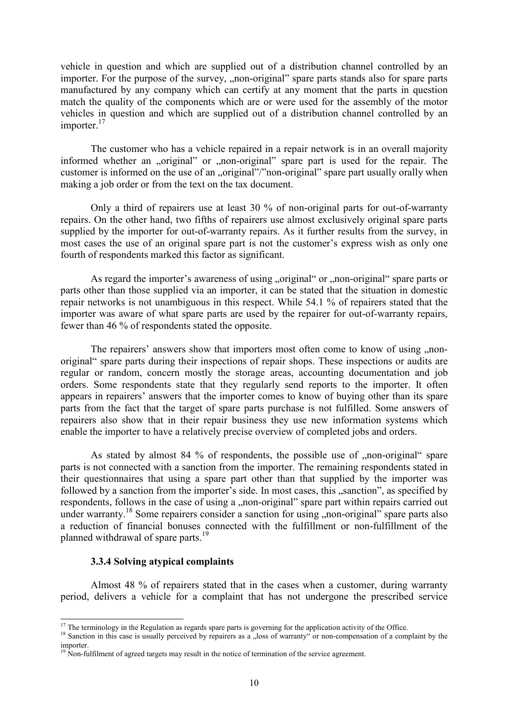vehicle in question and which are supplied out of a distribution channel controlled by an importer. For the purpose of the survey, "non-original" spare parts stands also for spare parts manufactured by any company which can certify at any moment that the parts in question match the quality of the components which are or were used for the assembly of the motor vehicles in question and which are supplied out of a distribution channel controlled by an importer.<sup>17</sup>

 The customer who has a vehicle repaired in a repair network is in an overall majority informed whether an "original" or "non-original" spare part is used for the repair. The customer is informed on the use of an "original"/"non-original" spare part usually orally when making a job order or from the text on the tax document.

 Only a third of repairers use at least 30 % of non-original parts for out-of-warranty repairs. On the other hand, two fifths of repairers use almost exclusively original spare parts supplied by the importer for out-of-warranty repairs. As it further results from the survey, in most cases the use of an original spare part is not the customer's express wish as only one fourth of respondents marked this factor as significant.

As regard the importer's awareness of using "original" or "non-original" spare parts or parts other than those supplied via an importer, it can be stated that the situation in domestic repair networks is not unambiguous in this respect. While 54.1 % of repairers stated that the importer was aware of what spare parts are used by the repairer for out-of-warranty repairs, fewer than 46 % of respondents stated the opposite.

The repairers' answers show that importers most often come to know of using , nonoriginal" spare parts during their inspections of repair shops. These inspections or audits are regular or random, concern mostly the storage areas, accounting documentation and job orders. Some respondents state that they regularly send reports to the importer. It often appears in repairers' answers that the importer comes to know of buying other than its spare parts from the fact that the target of spare parts purchase is not fulfilled. Some answers of repairers also show that in their repair business they use new information systems which enable the importer to have a relatively precise overview of completed jobs and orders.

As stated by almost 84  $\%$  of respondents, the possible use of  $\ldots$  non-original spare parts is not connected with a sanction from the importer. The remaining respondents stated in their questionnaires that using a spare part other than that supplied by the importer was followed by a sanction from the importer's side. In most cases, this "sanction", as specified by respondents, follows in the case of using a "non-original" spare part within repairs carried out under warranty.<sup>18</sup> Some repairers consider a sanction for using "non-original" spare parts also a reduction of financial bonuses connected with the fulfillment or non-fulfillment of the planned withdrawal of spare parts.<sup>19</sup>

## 3.3.4 Solving atypical complaints

l

 Almost 48 % of repairers stated that in the cases when a customer, during warranty period, delivers a vehicle for a complaint that has not undergone the prescribed service

 $17$  The terminology in the Regulation as regards spare parts is governing for the application activity of the Office.

<sup>&</sup>lt;sup>18</sup> Sanction in this case is usually perceived by repairers as a "loss of warranty" or non-compensation of a complaint by the importer.

 $19$  Non-fulfilment of agreed targets may result in the notice of termination of the service agreement.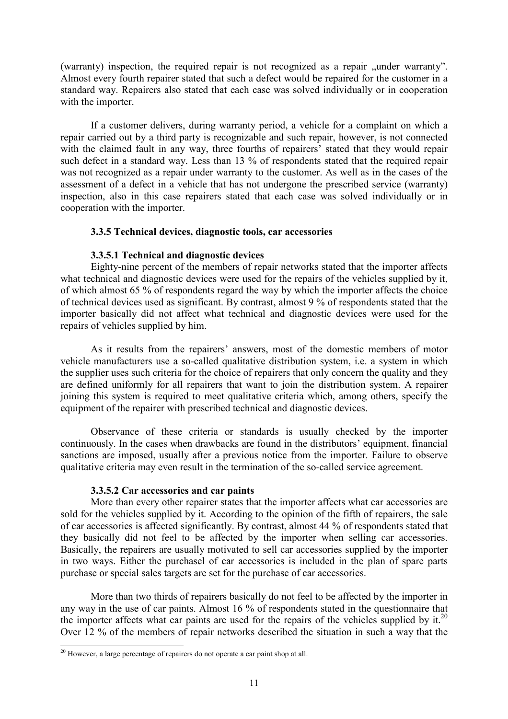(warranty) inspection, the required repair is not recognized as a repair "under warranty". Almost every fourth repairer stated that such a defect would be repaired for the customer in a standard way. Repairers also stated that each case was solved individually or in cooperation with the importer.

 If a customer delivers, during warranty period, a vehicle for a complaint on which a repair carried out by a third party is recognizable and such repair, however, is not connected with the claimed fault in any way, three fourths of repairers' stated that they would repair such defect in a standard way. Less than 13 % of respondents stated that the required repair was not recognized as a repair under warranty to the customer. As well as in the cases of the assessment of a defect in a vehicle that has not undergone the prescribed service (warranty) inspection, also in this case repairers stated that each case was solved individually or in cooperation with the importer.

## 3.3.5 Technical devices, diagnostic tools, car accessories

## 3.3.5.1 Technical and diagnostic devices

 Eighty-nine percent of the members of repair networks stated that the importer affects what technical and diagnostic devices were used for the repairs of the vehicles supplied by it, of which almost 65 % of respondents regard the way by which the importer affects the choice of technical devices used as significant. By contrast, almost 9 % of respondents stated that the importer basically did not affect what technical and diagnostic devices were used for the repairs of vehicles supplied by him.

 As it results from the repairers' answers, most of the domestic members of motor vehicle manufacturers use a so-called qualitative distribution system, i.e. a system in which the supplier uses such criteria for the choice of repairers that only concern the quality and they are defined uniformly for all repairers that want to join the distribution system. A repairer joining this system is required to meet qualitative criteria which, among others, specify the equipment of the repairer with prescribed technical and diagnostic devices.

 Observance of these criteria or standards is usually checked by the importer continuously. In the cases when drawbacks are found in the distributors' equipment, financial sanctions are imposed, usually after a previous notice from the importer. Failure to observe qualitative criteria may even result in the termination of the so-called service agreement.

## 3.3.5.2 Car accessories and car paints

 More than every other repairer states that the importer affects what car accessories are sold for the vehicles supplied by it. According to the opinion of the fifth of repairers, the sale of car accessories is affected significantly. By contrast, almost 44 % of respondents stated that they basically did not feel to be affected by the importer when selling car accessories. Basically, the repairers are usually motivated to sell car accessories supplied by the importer in two ways. Either the purchasel of car accessories is included in the plan of spare parts purchase or special sales targets are set for the purchase of car accessories.

 More than two thirds of repairers basically do not feel to be affected by the importer in any way in the use of car paints. Almost 16 % of respondents stated in the questionnaire that the importer affects what car paints are used for the repairs of the vehicles supplied by it.<sup>20</sup> Over 12 % of the members of repair networks described the situation in such a way that the

 $^{20}$  However, a large percentage of repairers do not operate a car paint shop at all.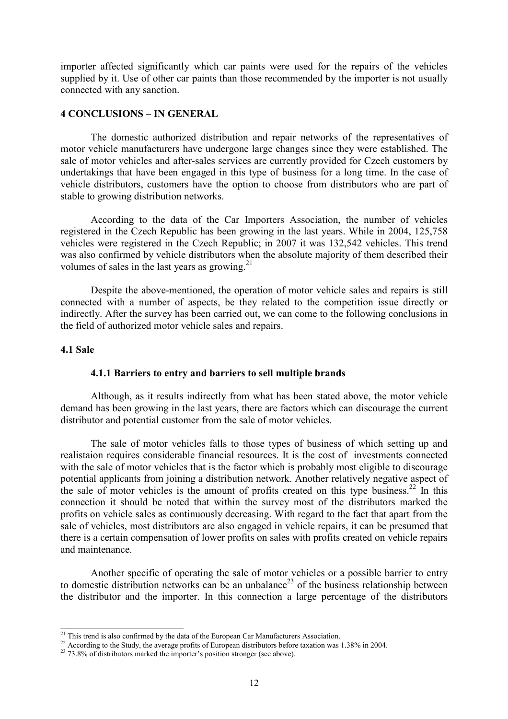importer affected significantly which car paints were used for the repairs of the vehicles supplied by it. Use of other car paints than those recommended by the importer is not usually connected with any sanction.

## 4 CONCLUSIONS – IN GENERAL

 The domestic authorized distribution and repair networks of the representatives of motor vehicle manufacturers have undergone large changes since they were established. The sale of motor vehicles and after-sales services are currently provided for Czech customers by undertakings that have been engaged in this type of business for a long time. In the case of vehicle distributors, customers have the option to choose from distributors who are part of stable to growing distribution networks.

 According to the data of the Car Importers Association, the number of vehicles registered in the Czech Republic has been growing in the last years. While in 2004, 125,758 vehicles were registered in the Czech Republic; in 2007 it was 132,542 vehicles. This trend was also confirmed by vehicle distributors when the absolute majority of them described their volumes of sales in the last years as growing. $^{21}$ 

 Despite the above-mentioned, the operation of motor vehicle sales and repairs is still connected with a number of aspects, be they related to the competition issue directly or indirectly. After the survey has been carried out, we can come to the following conclusions in the field of authorized motor vehicle sales and repairs.

## 4.1 Sale

 $\overline{a}$ 

#### 4.1.1 Barriers to entry and barriers to sell multiple brands

 Although, as it results indirectly from what has been stated above, the motor vehicle demand has been growing in the last years, there are factors which can discourage the current distributor and potential customer from the sale of motor vehicles.

 The sale of motor vehicles falls to those types of business of which setting up and realistaion requires considerable financial resources. It is the cost of investments connected with the sale of motor vehicles that is the factor which is probably most eligible to discourage potential applicants from joining a distribution network. Another relatively negative aspect of the sale of motor vehicles is the amount of profits created on this type business.<sup>22</sup> In this connection it should be noted that within the survey most of the distributors marked the profits on vehicle sales as continuously decreasing. With regard to the fact that apart from the sale of vehicles, most distributors are also engaged in vehicle repairs, it can be presumed that there is a certain compensation of lower profits on sales with profits created on vehicle repairs and maintenance.

 Another specific of operating the sale of motor vehicles or a possible barrier to entry to domestic distribution networks can be an unbalance<sup>23</sup> of the business relationship between the distributor and the importer. In this connection a large percentage of the distributors

<sup>&</sup>lt;sup>21</sup> This trend is also confirmed by the data of the European Car Manufacturers Association.

<sup>&</sup>lt;sup>22</sup> According to the Study, the average profits of European distributors before taxation was 1.38% in 2004.

 $^{23}$  73.8% of distributors marked the importer's position stronger (see above).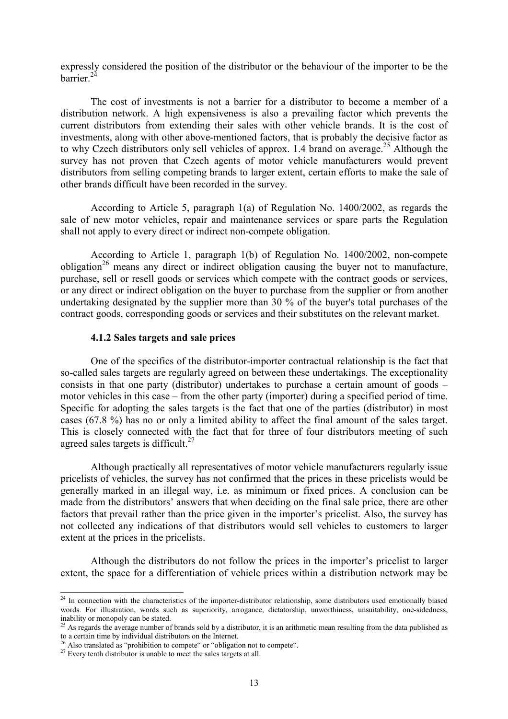expressly considered the position of the distributor or the behaviour of the importer to be the barrier. $24$ 

 The cost of investments is not a barrier for a distributor to become a member of a distribution network. A high expensiveness is also a prevailing factor which prevents the current distributors from extending their sales with other vehicle brands. It is the cost of investments, along with other above-mentioned factors, that is probably the decisive factor as to why Czech distributors only sell vehicles of approx. 1.4 brand on average.<sup>25</sup> Although the survey has not proven that Czech agents of motor vehicle manufacturers would prevent distributors from selling competing brands to larger extent, certain efforts to make the sale of other brands difficult have been recorded in the survey.

 According to Article 5, paragraph 1(a) of Regulation No. 1400/2002, as regards the sale of new motor vehicles, repair and maintenance services or spare parts the Regulation shall not apply to every direct or indirect non-compete obligation.

 According to Article 1, paragraph 1(b) of Regulation No. 1400/2002, non-compete obligation<sup>26</sup> means any direct or indirect obligation causing the buyer not to manufacture. purchase, sell or resell goods or services which compete with the contract goods or services, or any direct or indirect obligation on the buyer to purchase from the supplier or from another undertaking designated by the supplier more than 30 % of the buyer's total purchases of the contract goods, corresponding goods or services and their substitutes on the relevant market.

#### 4.1.2 Sales targets and sale prices

 One of the specifics of the distributor-importer contractual relationship is the fact that so-called sales targets are regularly agreed on between these undertakings. The exceptionality consists in that one party (distributor) undertakes to purchase a certain amount of goods – motor vehicles in this case – from the other party (importer) during a specified period of time. Specific for adopting the sales targets is the fact that one of the parties (distributor) in most cases (67.8 %) has no or only a limited ability to affect the final amount of the sales target. This is closely connected with the fact that for three of four distributors meeting of such agreed sales targets is difficult.<sup>27</sup>

 Although practically all representatives of motor vehicle manufacturers regularly issue pricelists of vehicles, the survey has not confirmed that the prices in these pricelists would be generally marked in an illegal way, i.e. as minimum or fixed prices. A conclusion can be made from the distributors' answers that when deciding on the final sale price, there are other factors that prevail rather than the price given in the importer's pricelist. Also, the survey has not collected any indications of that distributors would sell vehicles to customers to larger extent at the prices in the pricelists.

 Although the distributors do not follow the prices in the importer's pricelist to larger extent, the space for a differentiation of vehicle prices within a distribution network may be

 $24$  In connection with the characteristics of the importer-distributor relationship, some distributors used emotionally biased words. For illustration, words such as superiority, arrogance, dictatorship, unworthiness, unsuitability, one-sidedness, inability or monopoly can be stated.

<sup>&</sup>lt;sup>25</sup> As regards the average number of brands sold by a distributor, it is an arithmetic mean resulting from the data published as to a certain time by individual distributors on the Internet.<br> $\frac{26}{4}$  Also translated by  $\frac{1}{26}$ .

 $\frac{1}{2}$  Also translated as "prohibition to compete" or "obligation not to compete".

<sup>&</sup>lt;sup>27</sup> Every tenth distributor is unable to meet the sales targets at all.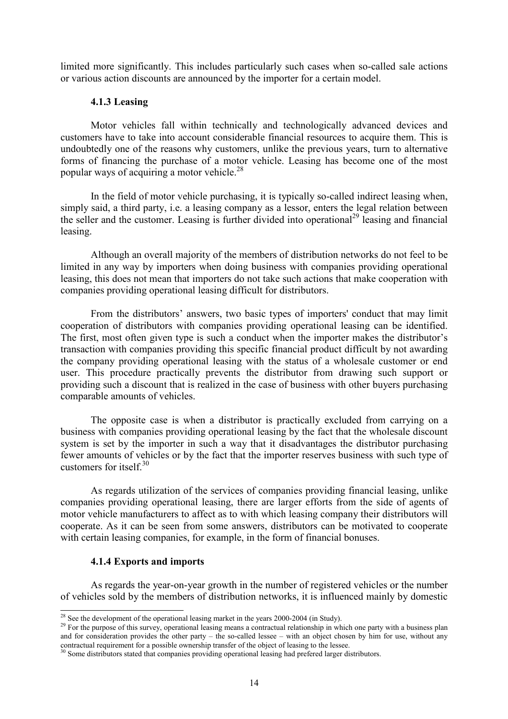limited more significantly. This includes particularly such cases when so-called sale actions or various action discounts are announced by the importer for a certain model.

#### 4.1.3 Leasing

 Motor vehicles fall within technically and technologically advanced devices and customers have to take into account considerable financial resources to acquire them. This is undoubtedly one of the reasons why customers, unlike the previous years, turn to alternative forms of financing the purchase of a motor vehicle. Leasing has become one of the most popular ways of acquiring a motor vehicle.<sup>28</sup>

 In the field of motor vehicle purchasing, it is typically so-called indirect leasing when, simply said, a third party, i.e. a leasing company as a lessor, enters the legal relation between the seller and the customer. Leasing is further divided into operational<sup>29</sup> leasing and financial leasing.

 Although an overall majority of the members of distribution networks do not feel to be limited in any way by importers when doing business with companies providing operational leasing, this does not mean that importers do not take such actions that make cooperation with companies providing operational leasing difficult for distributors.

 From the distributors' answers, two basic types of importers' conduct that may limit cooperation of distributors with companies providing operational leasing can be identified. The first, most often given type is such a conduct when the importer makes the distributor's transaction with companies providing this specific financial product difficult by not awarding the company providing operational leasing with the status of a wholesale customer or end user. This procedure practically prevents the distributor from drawing such support or providing such a discount that is realized in the case of business with other buyers purchasing comparable amounts of vehicles.

 The opposite case is when a distributor is practically excluded from carrying on a business with companies providing operational leasing by the fact that the wholesale discount system is set by the importer in such a way that it disadvantages the distributor purchasing fewer amounts of vehicles or by the fact that the importer reserves business with such type of customers for itself. $30$ 

 As regards utilization of the services of companies providing financial leasing, unlike companies providing operational leasing, there are larger efforts from the side of agents of motor vehicle manufacturers to affect as to with which leasing company their distributors will cooperate. As it can be seen from some answers, distributors can be motivated to cooperate with certain leasing companies, for example, in the form of financial bonuses.

## 4.1.4 Exports and imports

L

 As regards the year-on-year growth in the number of registered vehicles or the number of vehicles sold by the members of distribution networks, it is influenced mainly by domestic

<sup>&</sup>lt;sup>28</sup> See the development of the operational leasing market in the years 2000-2004 (in Study).

<sup>&</sup>lt;sup>29</sup> For the purpose of this survey, operational leasing means a contractual relationship in which one party with a business plan and for consideration provides the other party – the so-called lessee – with an object chosen by him for use, without any contractual requirement for a possible ownership transfer of the object of leasing to the lessee.

 $30$  Some distributors stated that companies providing operational leasing had prefered larger distributors.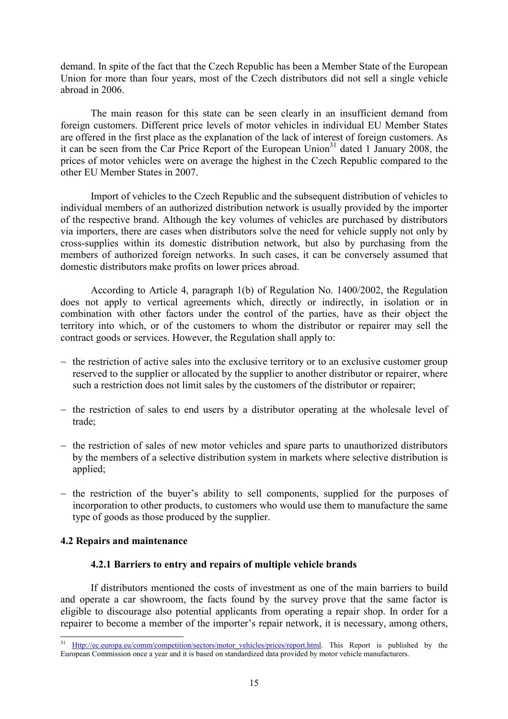demand. In spite of the fact that the Czech Republic has been a Member State of the European Union for more than four years, most of the Czech distributors did not sell a single vehicle abroad in 2006.

 The main reason for this state can be seen clearly in an insufficient demand from foreign customers. Different price levels of motor vehicles in individual EU Member States are offered in the first place as the explanation of the lack of interest of foreign customers. As it can be seen from the Car Price Report of the European Union<sup>31</sup> dated 1 January 2008, the prices of motor vehicles were on average the highest in the Czech Republic compared to the other EU Member States in 2007.

 Import of vehicles to the Czech Republic and the subsequent distribution of vehicles to individual members of an authorized distribution network is usually provided by the importer of the respective brand. Although the key volumes of vehicles are purchased by distributors via importers, there are cases when distributors solve the need for vehicle supply not only by cross-supplies within its domestic distribution network, but also by purchasing from the members of authorized foreign networks. In such cases, it can be conversely assumed that domestic distributors make profits on lower prices abroad.

 According to Article 4, paragraph 1(b) of Regulation No. 1400/2002, the Regulation does not apply to vertical agreements which, directly or indirectly, in isolation or in combination with other factors under the control of the parties, have as their object the territory into which, or of the customers to whom the distributor or repairer may sell the contract goods or services. However, the Regulation shall apply to:

- − the restriction of active sales into the exclusive territory or to an exclusive customer group reserved to the supplier or allocated by the supplier to another distributor or repairer, where such a restriction does not limit sales by the customers of the distributor or repairer;
- − the restriction of sales to end users by a distributor operating at the wholesale level of trade;
- − the restriction of sales of new motor vehicles and spare parts to unauthorized distributors by the members of a selective distribution system in markets where selective distribution is applied;
- − the restriction of the buyer's ability to sell components, supplied for the purposes of incorporation to other products, to customers who would use them to manufacture the same type of goods as those produced by the supplier.

## 4.2 Repairs and maintenance

l

## 4.2.1 Barriers to entry and repairs of multiple vehicle brands

 If distributors mentioned the costs of investment as one of the main barriers to build and operate a car showroom, the facts found by the survey prove that the same factor is eligible to discourage also potential applicants from operating a repair shop. In order for a repairer to become a member of the importer's repair network, it is necessary, among others,

Http://ec.europa.eu/comm/competition/sectors/motor\_vehicles/prices/report.html. This Report is published by the European Commission once a year and it is based on standardized data provided by motor vehicle manufacturers.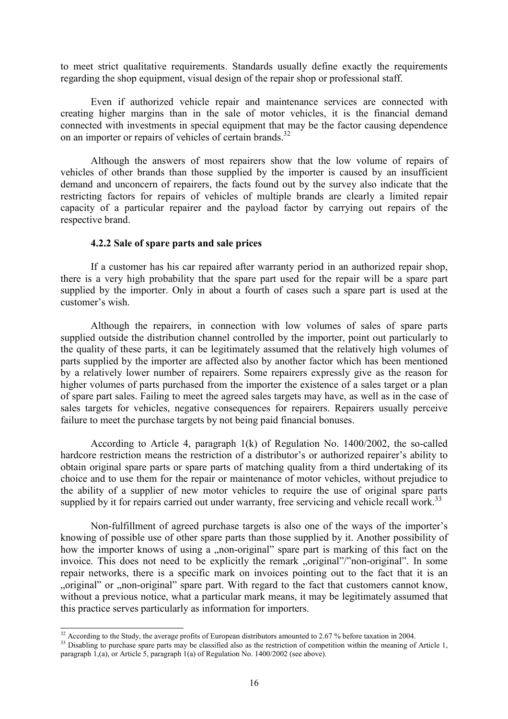to meet strict qualitative requirements. Standards usually define exactly the requirements regarding the shop equipment, visual design of the repair shop or professional staff.

 Even if authorized vehicle repair and maintenance services are connected with creating higher margins than in the sale of motor vehicles, it is the financial demand connected with investments in special equipment that may be the factor causing dependence on an importer or repairs of vehicles of certain brands.<sup>32</sup>

 Although the answers of most repairers show that the low volume of repairs of vehicles of other brands than those supplied by the importer is caused by an insufficient demand and unconcern of repairers, the facts found out by the survey also indicate that the restricting factors for repairs of vehicles of multiple brands are clearly a limited repair capacity of a particular repairer and the payload factor by carrying out repairs of the respective brand.

#### 4.2.2 Sale of spare parts and sale prices

 If a customer has his car repaired after warranty period in an authorized repair shop, there is a very high probability that the spare part used for the repair will be a spare part supplied by the importer. Only in about a fourth of cases such a spare part is used at the customer's wish.

 Although the repairers, in connection with low volumes of sales of spare parts supplied outside the distribution channel controlled by the importer, point out particularly to the quality of these parts, it can be legitimately assumed that the relatively high volumes of parts supplied by the importer are affected also by another factor which has been mentioned by a relatively lower number of repairers. Some repairers expressly give as the reason for higher volumes of parts purchased from the importer the existence of a sales target or a plan of spare part sales. Failing to meet the agreed sales targets may have, as well as in the case of sales targets for vehicles, negative consequences for repairers. Repairers usually perceive failure to meet the purchase targets by not being paid financial bonuses.

 According to Article 4, paragraph 1(k) of Regulation No. 1400/2002, the so-called hardcore restriction means the restriction of a distributor's or authorized repairer's ability to obtain original spare parts or spare parts of matching quality from a third undertaking of its choice and to use them for the repair or maintenance of motor vehicles, without prejudice to the ability of a supplier of new motor vehicles to require the use of original spare parts supplied by it for repairs carried out under warranty, free servicing and vehicle recall work.<sup>33</sup>

 Non-fulfillment of agreed purchase targets is also one of the ways of the importer's knowing of possible use of other spare parts than those supplied by it. Another possibility of how the importer knows of using a "non-original" spare part is marking of this fact on the invoice. This does not need to be explicitly the remark "original"/"non-original". In some repair networks, there is a specific mark on invoices pointing out to the fact that it is an "original" or "non-original" spare part. With regard to the fact that customers cannot know. without a previous notice, what a particular mark means, it may be legitimately assumed that this practice serves particularly as information for importers.

 $\overline{a}$ 

<sup>&</sup>lt;sup>32</sup> According to the Study, the average profits of European distributors amounted to 2.67 % before taxation in 2004.

<sup>&</sup>lt;sup>33</sup> Disabling to purchase spare parts may be classified also as the restriction of competition within the meaning of Article 1, paragraph 1,(a), or Article 5, paragraph 1(a) of Regulation No. 1400/2002 (see above).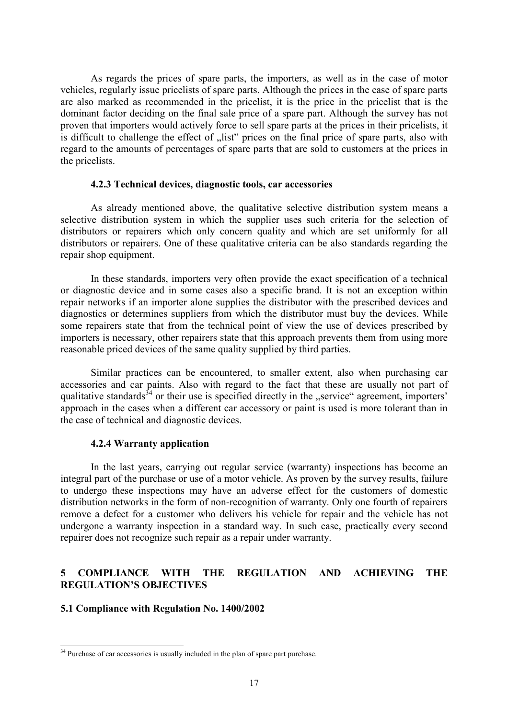As regards the prices of spare parts, the importers, as well as in the case of motor vehicles, regularly issue pricelists of spare parts. Although the prices in the case of spare parts are also marked as recommended in the pricelist, it is the price in the pricelist that is the dominant factor deciding on the final sale price of a spare part. Although the survey has not proven that importers would actively force to sell spare parts at the prices in their pricelists, it is difficult to challenge the effect of "list" prices on the final price of spare parts, also with regard to the amounts of percentages of spare parts that are sold to customers at the prices in the pricelists.

#### 4.2.3 Technical devices, diagnostic tools, car accessories

 As already mentioned above, the qualitative selective distribution system means a selective distribution system in which the supplier uses such criteria for the selection of distributors or repairers which only concern quality and which are set uniformly for all distributors or repairers. One of these qualitative criteria can be also standards regarding the repair shop equipment.

 In these standards, importers very often provide the exact specification of a technical or diagnostic device and in some cases also a specific brand. It is not an exception within repair networks if an importer alone supplies the distributor with the prescribed devices and diagnostics or determines suppliers from which the distributor must buy the devices. While some repairers state that from the technical point of view the use of devices prescribed by importers is necessary, other repairers state that this approach prevents them from using more reasonable priced devices of the same quality supplied by third parties.

 Similar practices can be encountered, to smaller extent, also when purchasing car accessories and car paints. Also with regard to the fact that these are usually not part of qualitative standards<sup>34</sup> or their use is specified directly in the "service" agreement, importers' approach in the cases when a different car accessory or paint is used is more tolerant than in the case of technical and diagnostic devices.

#### 4.2.4 Warranty application

 In the last years, carrying out regular service (warranty) inspections has become an integral part of the purchase or use of a motor vehicle. As proven by the survey results, failure to undergo these inspections may have an adverse effect for the customers of domestic distribution networks in the form of non-recognition of warranty. Only one fourth of repairers remove a defect for a customer who delivers his vehicle for repair and the vehicle has not undergone a warranty inspection in a standard way. In such case, practically every second repairer does not recognize such repair as a repair under warranty.

# 5 COMPLIANCE WITH THE REGULATION AND ACHIEVING THE REGULATION'S OBJECTIVES

## 5.1 Compliance with Regulation No. 1400/2002

 $34$  Purchase of car accessories is usually included in the plan of spare part purchase.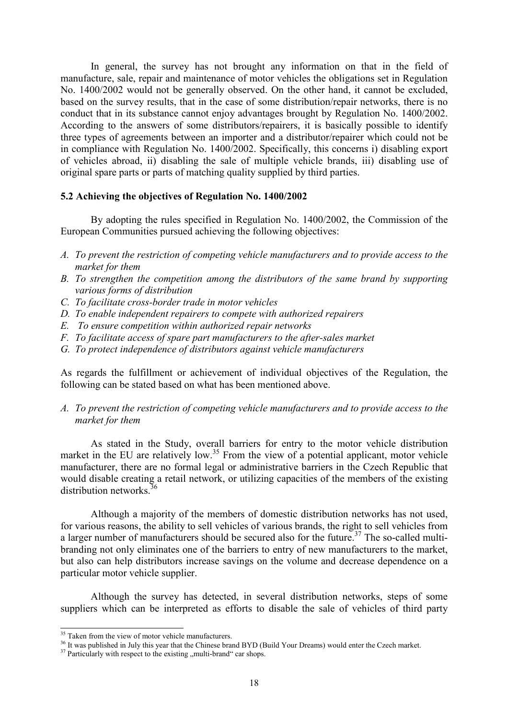In general, the survey has not brought any information on that in the field of manufacture, sale, repair and maintenance of motor vehicles the obligations set in Regulation No. 1400/2002 would not be generally observed. On the other hand, it cannot be excluded, based on the survey results, that in the case of some distribution/repair networks, there is no conduct that in its substance cannot enjoy advantages brought by Regulation No. 1400/2002. According to the answers of some distributors/repairers, it is basically possible to identify three types of agreements between an importer and a distributor/repairer which could not be in compliance with Regulation No. 1400/2002. Specifically, this concerns i) disabling export of vehicles abroad, ii) disabling the sale of multiple vehicle brands, iii) disabling use of original spare parts or parts of matching quality supplied by third parties.

# 5.2 Achieving the objectives of Regulation No. 1400/2002

 By adopting the rules specified in Regulation No. 1400/2002, the Commission of the European Communities pursued achieving the following objectives:

- A. To prevent the restriction of competing vehicle manufacturers and to provide access to the market for them
- B. To strengthen the competition among the distributors of the same brand by supporting various forms of distribution
- C. To facilitate cross-border trade in motor vehicles
- D. To enable independent repairers to compete with authorized repairers
- E. To ensure competition within authorized repair networks
- F. To facilitate access of spare part manufacturers to the after-sales market
- G. To protect independence of distributors against vehicle manufacturers

As regards the fulfillment or achievement of individual objectives of the Regulation, the following can be stated based on what has been mentioned above.

A. To prevent the restriction of competing vehicle manufacturers and to provide access to the market for them

 As stated in the Study, overall barriers for entry to the motor vehicle distribution market in the EU are relatively low.<sup>35</sup> From the view of a potential applicant, motor vehicle manufacturer, there are no formal legal or administrative barriers in the Czech Republic that would disable creating a retail network, or utilizing capacities of the members of the existing distribution networks<sup>36</sup>

 Although a majority of the members of domestic distribution networks has not used, for various reasons, the ability to sell vehicles of various brands, the right to sell vehicles from a larger number of manufacturers should be secured also for the future.<sup>37</sup> The so-called multibranding not only eliminates one of the barriers to entry of new manufacturers to the market, but also can help distributors increase savings on the volume and decrease dependence on a particular motor vehicle supplier.

 Although the survey has detected, in several distribution networks, steps of some suppliers which can be interpreted as efforts to disable the sale of vehicles of third party

 $\overline{a}$ 

<sup>&</sup>lt;sup>35</sup> Taken from the view of motor vehicle manufacturers.

<sup>&</sup>lt;sup>36</sup> It was published in July this year that the Chinese brand BYD (Build Your Dreams) would enter the Czech market.

 $37$  Particularly with respect to the existing , multi-brand  $\degree$  car shops.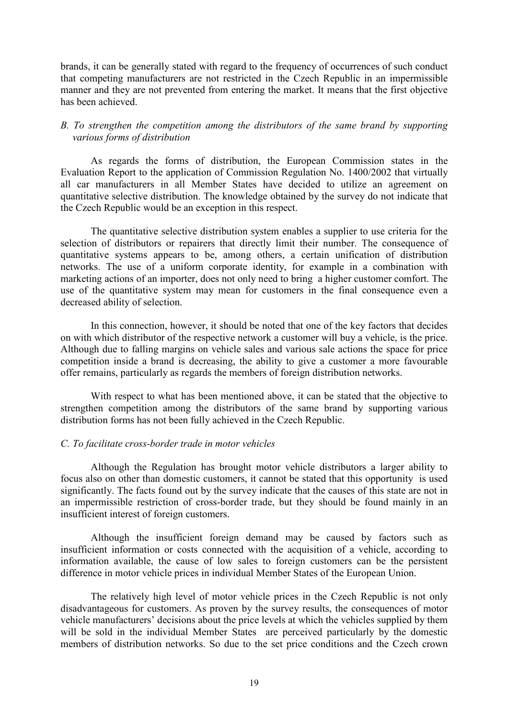brands, it can be generally stated with regard to the frequency of occurrences of such conduct that competing manufacturers are not restricted in the Czech Republic in an impermissible manner and they are not prevented from entering the market. It means that the first objective has been achieved.

## B. To strengthen the competition among the distributors of the same brand by supporting various forms of distribution

 As regards the forms of distribution, the European Commission states in the Evaluation Report to the application of Commission Regulation No. 1400/2002 that virtually all car manufacturers in all Member States have decided to utilize an agreement on quantitative selective distribution. The knowledge obtained by the survey do not indicate that the Czech Republic would be an exception in this respect.

 The quantitative selective distribution system enables a supplier to use criteria for the selection of distributors or repairers that directly limit their number. The consequence of quantitative systems appears to be, among others, a certain unification of distribution networks. The use of a uniform corporate identity, for example in a combination with marketing actions of an importer, does not only need to bring a higher customer comfort. The use of the quantitative system may mean for customers in the final consequence even a decreased ability of selection.

 In this connection, however, it should be noted that one of the key factors that decides on with which distributor of the respective network a customer will buy a vehicle, is the price. Although due to falling margins on vehicle sales and various sale actions the space for price competition inside a brand is decreasing, the ability to give a customer a more favourable offer remains, particularly as regards the members of foreign distribution networks.

 With respect to what has been mentioned above, it can be stated that the objective to strengthen competition among the distributors of the same brand by supporting various distribution forms has not been fully achieved in the Czech Republic.

# C. To facilitate cross-border trade in motor vehicles

 Although the Regulation has brought motor vehicle distributors a larger ability to focus also on other than domestic customers, it cannot be stated that this opportunity is used significantly. The facts found out by the survey indicate that the causes of this state are not in an impermissible restriction of cross-border trade, but they should be found mainly in an insufficient interest of foreign customers.

 Although the insufficient foreign demand may be caused by factors such as insufficient information or costs connected with the acquisition of a vehicle, according to information available, the cause of low sales to foreign customers can be the persistent difference in motor vehicle prices in individual Member States of the European Union.

 The relatively high level of motor vehicle prices in the Czech Republic is not only disadvantageous for customers. As proven by the survey results, the consequences of motor vehicle manufacturers' decisions about the price levels at which the vehicles supplied by them will be sold in the individual Member States are perceived particularly by the domestic members of distribution networks. So due to the set price conditions and the Czech crown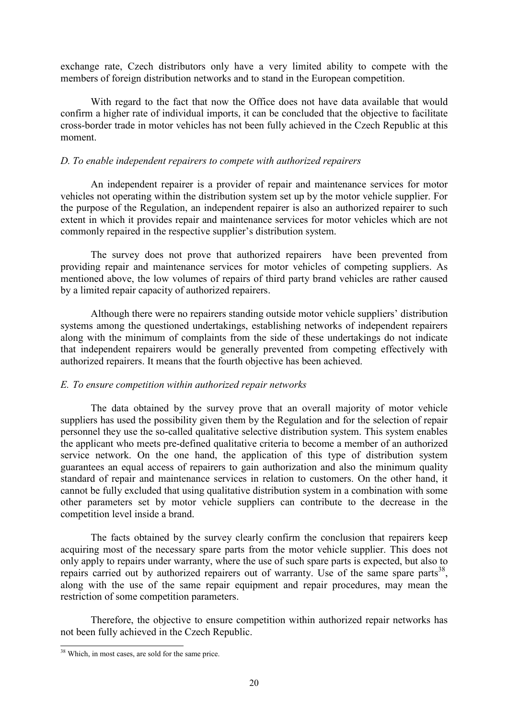exchange rate, Czech distributors only have a very limited ability to compete with the members of foreign distribution networks and to stand in the European competition.

 With regard to the fact that now the Office does not have data available that would confirm a higher rate of individual imports, it can be concluded that the objective to facilitate cross-border trade in motor vehicles has not been fully achieved in the Czech Republic at this moment.

#### D. To enable independent repairers to compete with authorized repairers

 An independent repairer is a provider of repair and maintenance services for motor vehicles not operating within the distribution system set up by the motor vehicle supplier. For the purpose of the Regulation, an independent repairer is also an authorized repairer to such extent in which it provides repair and maintenance services for motor vehicles which are not commonly repaired in the respective supplier's distribution system.

 The survey does not prove that authorized repairers have been prevented from providing repair and maintenance services for motor vehicles of competing suppliers. As mentioned above, the low volumes of repairs of third party brand vehicles are rather caused by a limited repair capacity of authorized repairers.

 Although there were no repairers standing outside motor vehicle suppliers' distribution systems among the questioned undertakings, establishing networks of independent repairers along with the minimum of complaints from the side of these undertakings do not indicate that independent repairers would be generally prevented from competing effectively with authorized repairers. It means that the fourth objective has been achieved.

## E. To ensure competition within authorized repair networks

 The data obtained by the survey prove that an overall majority of motor vehicle suppliers has used the possibility given them by the Regulation and for the selection of repair personnel they use the so-called qualitative selective distribution system. This system enables the applicant who meets pre-defined qualitative criteria to become a member of an authorized service network. On the one hand, the application of this type of distribution system guarantees an equal access of repairers to gain authorization and also the minimum quality standard of repair and maintenance services in relation to customers. On the other hand, it cannot be fully excluded that using qualitative distribution system in a combination with some other parameters set by motor vehicle suppliers can contribute to the decrease in the competition level inside a brand.

 The facts obtained by the survey clearly confirm the conclusion that repairers keep acquiring most of the necessary spare parts from the motor vehicle supplier. This does not only apply to repairs under warranty, where the use of such spare parts is expected, but also to repairs carried out by authorized repairers out of warranty. Use of the same spare parts<sup>38</sup>, along with the use of the same repair equipment and repair procedures, may mean the restriction of some competition parameters.

 Therefore, the objective to ensure competition within authorized repair networks has not been fully achieved in the Czech Republic.

<sup>38</sup> Which, in most cases, are sold for the same price.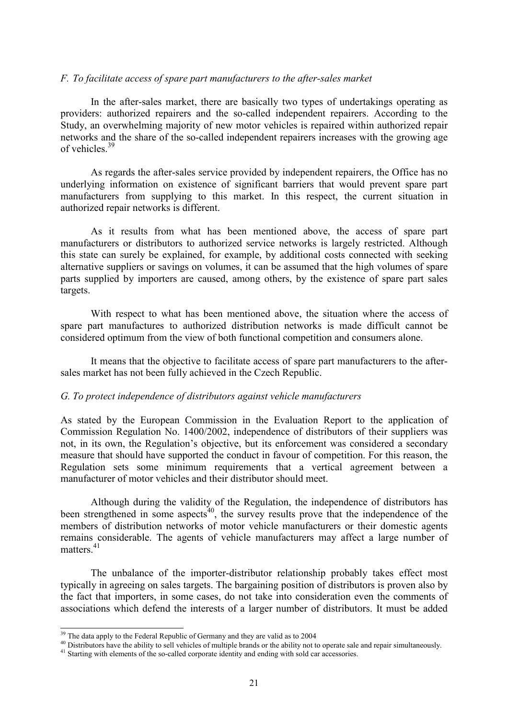#### F. To facilitate access of spare part manufacturers to the after-sales market

 In the after-sales market, there are basically two types of undertakings operating as providers: authorized repairers and the so-called independent repairers. According to the Study, an overwhelming majority of new motor vehicles is repaired within authorized repair networks and the share of the so-called independent repairers increases with the growing age of vehicles<sup>39</sup>

 As regards the after-sales service provided by independent repairers, the Office has no underlying information on existence of significant barriers that would prevent spare part manufacturers from supplying to this market. In this respect, the current situation in authorized repair networks is different.

 As it results from what has been mentioned above, the access of spare part manufacturers or distributors to authorized service networks is largely restricted. Although this state can surely be explained, for example, by additional costs connected with seeking alternative suppliers or savings on volumes, it can be assumed that the high volumes of spare parts supplied by importers are caused, among others, by the existence of spare part sales targets.

 With respect to what has been mentioned above, the situation where the access of spare part manufactures to authorized distribution networks is made difficult cannot be considered optimum from the view of both functional competition and consumers alone.

 It means that the objective to facilitate access of spare part manufacturers to the aftersales market has not been fully achieved in the Czech Republic.

#### G. To protect independence of distributors against vehicle manufacturers

As stated by the European Commission in the Evaluation Report to the application of Commission Regulation No. 1400/2002, independence of distributors of their suppliers was not, in its own, the Regulation's objective, but its enforcement was considered a secondary measure that should have supported the conduct in favour of competition. For this reason, the Regulation sets some minimum requirements that a vertical agreement between a manufacturer of motor vehicles and their distributor should meet.

 Although during the validity of the Regulation, the independence of distributors has been strengthened in some aspects<sup>40</sup>, the survey results prove that the independence of the members of distribution networks of motor vehicle manufacturers or their domestic agents remains considerable. The agents of vehicle manufacturers may affect a large number of matters<sup>41</sup>

 The unbalance of the importer-distributor relationship probably takes effect most typically in agreeing on sales targets. The bargaining position of distributors is proven also by the fact that importers, in some cases, do not take into consideration even the comments of associations which defend the interests of a larger number of distributors. It must be added

 $\overline{a}$ 

<sup>&</sup>lt;sup>39</sup> The data apply to the Federal Republic of Germany and they are valid as to 2004

<sup>&</sup>lt;sup>40</sup> Distributors have the ability to sell vehicles of multiple brands or the ability not to operate sale and repair simultaneously.

<sup>&</sup>lt;sup>41</sup> Starting with elements of the so-called corporate identity and ending with sold car accessories.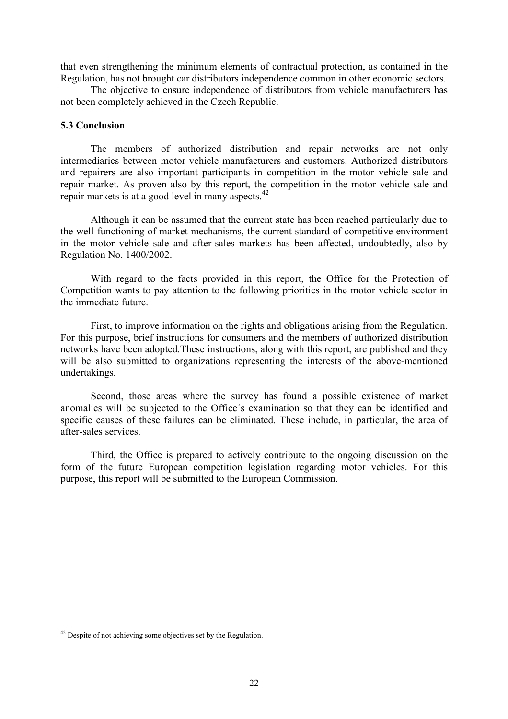that even strengthening the minimum elements of contractual protection, as contained in the Regulation, has not brought car distributors independence common in other economic sectors.

 The objective to ensure independence of distributors from vehicle manufacturers has not been completely achieved in the Czech Republic.

#### 5.3 Conclusion

 The members of authorized distribution and repair networks are not only intermediaries between motor vehicle manufacturers and customers. Authorized distributors and repairers are also important participants in competition in the motor vehicle sale and repair market. As proven also by this report, the competition in the motor vehicle sale and repair markets is at a good level in many aspects.<sup>42</sup>

 Although it can be assumed that the current state has been reached particularly due to the well-functioning of market mechanisms, the current standard of competitive environment in the motor vehicle sale and after-sales markets has been affected, undoubtedly, also by Regulation No. 1400/2002.

 With regard to the facts provided in this report, the Office for the Protection of Competition wants to pay attention to the following priorities in the motor vehicle sector in the immediate future.

 First, to improve information on the rights and obligations arising from the Regulation. For this purpose, brief instructions for consumers and the members of authorized distribution networks have been adopted.These instructions, along with this report, are published and they will be also submitted to organizations representing the interests of the above-mentioned undertakings.

 Second, those areas where the survey has found a possible existence of market anomalies will be subjected to the Office´s examination so that they can be identified and specific causes of these failures can be eliminated. These include, in particular, the area of after-sales services.

 Third, the Office is prepared to actively contribute to the ongoing discussion on the form of the future European competition legislation regarding motor vehicles. For this purpose, this report will be submitted to the European Commission.

 $\overline{a}$ 

<sup>&</sup>lt;sup>42</sup> Despite of not achieving some objectives set by the Regulation.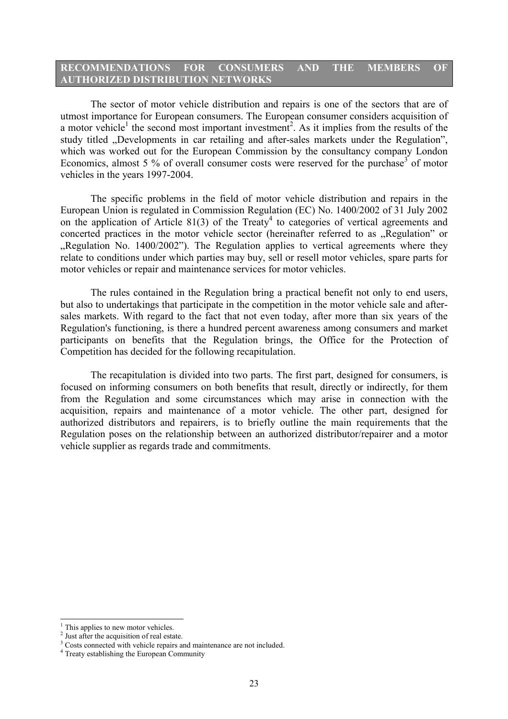# RECOMMENDATIONS FOR CONSUMERS AND THE MEMBERS OF AUTHORIZED DISTRIBUTION NETWORKS

 The sector of motor vehicle distribution and repairs is one of the sectors that are of utmost importance for European consumers. The European consumer considers acquisition of a motor vehicle<sup>1</sup> the second most important investment<sup>2</sup>. As it implies from the results of the study titled "Developments in car retailing and after-sales markets under the Regulation", which was worked out for the European Commission by the consultancy company London Economics, almost 5 % of overall consumer costs were reserved for the purchase<sup>3</sup> of motor vehicles in the years 1997-2004.

 The specific problems in the field of motor vehicle distribution and repairs in the European Union is regulated in Commission Regulation (EC) No. 1400/2002 of 31 July 2002 on the application of Article 81(3) of the Treaty<sup>4</sup> to categories of vertical agreements and concerted practices in the motor vehicle sector (hereinafter referred to as "Regulation" or "Regulation No. 1400/2002"). The Regulation applies to vertical agreements where they relate to conditions under which parties may buy, sell or resell motor vehicles, spare parts for motor vehicles or repair and maintenance services for motor vehicles.

 The rules contained in the Regulation bring a practical benefit not only to end users, but also to undertakings that participate in the competition in the motor vehicle sale and aftersales markets. With regard to the fact that not even today, after more than six years of the Regulation's functioning, is there a hundred percent awareness among consumers and market participants on benefits that the Regulation brings, the Office for the Protection of Competition has decided for the following recapitulation.

 The recapitulation is divided into two parts. The first part, designed for consumers, is focused on informing consumers on both benefits that result, directly or indirectly, for them from the Regulation and some circumstances which may arise in connection with the acquisition, repairs and maintenance of a motor vehicle. The other part, designed for authorized distributors and repairers, is to briefly outline the main requirements that the Regulation poses on the relationship between an authorized distributor/repairer and a motor vehicle supplier as regards trade and commitments.

<sup>&</sup>lt;sup>1</sup> This applies to new motor vehicles.

<sup>&</sup>lt;sup>2</sup> Just after the acquisition of real estate.

<sup>&</sup>lt;sup>3</sup> Costs connected with vehicle repairs and maintenance are not included.

<sup>&</sup>lt;sup>4</sup> Treaty establishing the European Community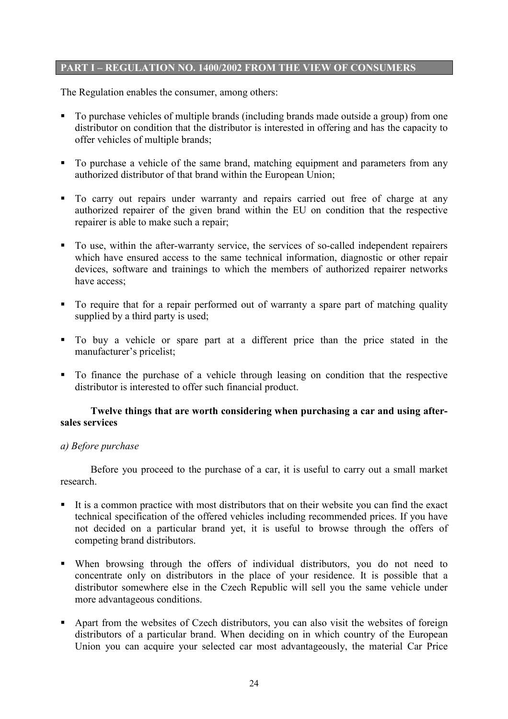# PART I – REGULATION NO. 1400/2002 FROM THE VIEW OF CONSUMERS

The Regulation enables the consumer, among others:

- To purchase vehicles of multiple brands (including brands made outside a group) from one distributor on condition that the distributor is interested in offering and has the capacity to offer vehicles of multiple brands;
- To purchase a vehicle of the same brand, matching equipment and parameters from any authorized distributor of that brand within the European Union;
- To carry out repairs under warranty and repairs carried out free of charge at any authorized repairer of the given brand within the EU on condition that the respective repairer is able to make such a repair;
- To use, within the after-warranty service, the services of so-called independent repairers which have ensured access to the same technical information, diagnostic or other repair devices, software and trainings to which the members of authorized repairer networks have access;
- To require that for a repair performed out of warranty a spare part of matching quality supplied by a third party is used;
- To buy a vehicle or spare part at a different price than the price stated in the manufacturer's pricelist;
- To finance the purchase of a vehicle through leasing on condition that the respective distributor is interested to offer such financial product.

# Twelve things that are worth considering when purchasing a car and using aftersales services

# a) Before purchase

 Before you proceed to the purchase of a car, it is useful to carry out a small market research.

- It is a common practice with most distributors that on their website you can find the exact technical specification of the offered vehicles including recommended prices. If you have not decided on a particular brand yet, it is useful to browse through the offers of competing brand distributors.
- When browsing through the offers of individual distributors, you do not need to concentrate only on distributors in the place of your residence. It is possible that a distributor somewhere else in the Czech Republic will sell you the same vehicle under more advantageous conditions.
- Apart from the websites of Czech distributors, you can also visit the websites of foreign distributors of a particular brand. When deciding on in which country of the European Union you can acquire your selected car most advantageously, the material Car Price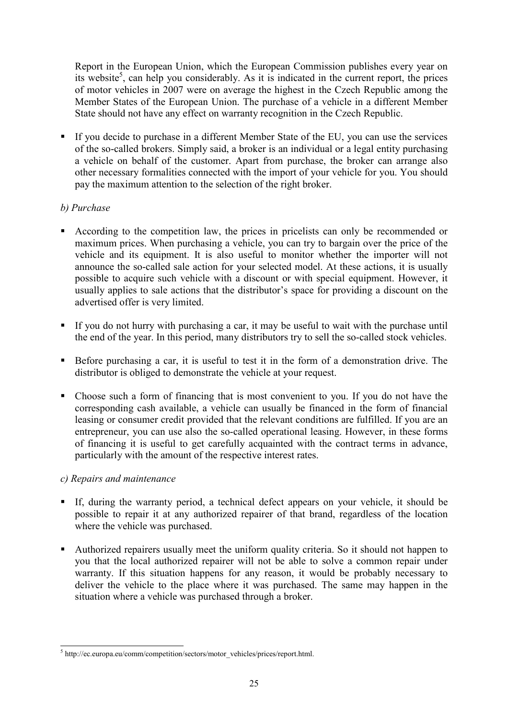Report in the European Union, which the European Commission publishes every year on its website<sup>5</sup>, can help you considerably. As it is indicated in the current report, the prices of motor vehicles in 2007 were on average the highest in the Czech Republic among the Member States of the European Union. The purchase of a vehicle in a different Member State should not have any effect on warranty recognition in the Czech Republic.

 If you decide to purchase in a different Member State of the EU, you can use the services of the so-called brokers. Simply said, a broker is an individual or a legal entity purchasing a vehicle on behalf of the customer. Apart from purchase, the broker can arrange also other necessary formalities connected with the import of your vehicle for you. You should pay the maximum attention to the selection of the right broker.

# b) Purchase

- According to the competition law, the prices in pricelists can only be recommended or maximum prices. When purchasing a vehicle, you can try to bargain over the price of the vehicle and its equipment. It is also useful to monitor whether the importer will not announce the so-called sale action for your selected model. At these actions, it is usually possible to acquire such vehicle with a discount or with special equipment. However, it usually applies to sale actions that the distributor's space for providing a discount on the advertised offer is very limited.
- If you do not hurry with purchasing a car, it may be useful to wait with the purchase until the end of the year. In this period, many distributors try to sell the so-called stock vehicles.
- Before purchasing a car, it is useful to test it in the form of a demonstration drive. The distributor is obliged to demonstrate the vehicle at your request.
- Choose such a form of financing that is most convenient to you. If you do not have the corresponding cash available, a vehicle can usually be financed in the form of financial leasing or consumer credit provided that the relevant conditions are fulfilled. If you are an entrepreneur, you can use also the so-called operational leasing. However, in these forms of financing it is useful to get carefully acquainted with the contract terms in advance, particularly with the amount of the respective interest rates.

# c) Repairs and maintenance

- If, during the warranty period, a technical defect appears on your vehicle, it should be possible to repair it at any authorized repairer of that brand, regardless of the location where the vehicle was purchased.
- Authorized repairers usually meet the uniform quality criteria. So it should not happen to you that the local authorized repairer will not be able to solve a common repair under warranty. If this situation happens for any reason, it would be probably necessary to deliver the vehicle to the place where it was purchased. The same may happen in the situation where a vehicle was purchased through a broker.

<sup>&</sup>lt;sup>5</sup> http://ec.europa.eu/comm/competition/sectors/motor\_vehicles/prices/report.html.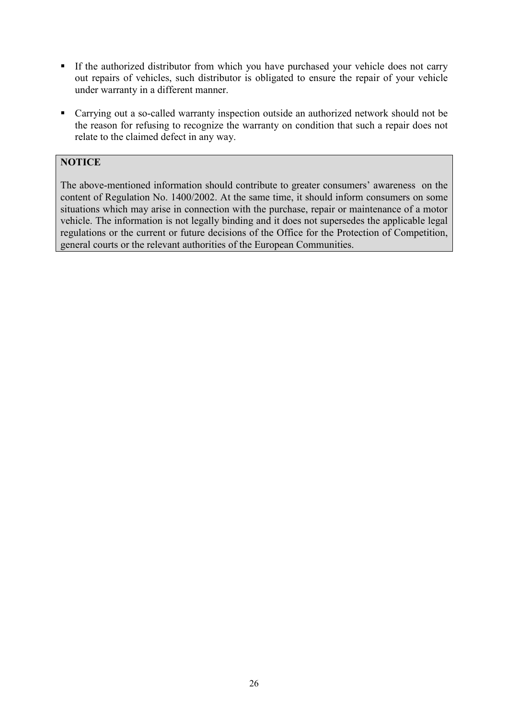- If the authorized distributor from which you have purchased your vehicle does not carry out repairs of vehicles, such distributor is obligated to ensure the repair of your vehicle under warranty in a different manner.
- Carrying out a so-called warranty inspection outside an authorized network should not be the reason for refusing to recognize the warranty on condition that such a repair does not relate to the claimed defect in any way.

# **NOTICE**

The above-mentioned information should contribute to greater consumers' awareness on the content of Regulation No. 1400/2002. At the same time, it should inform consumers on some situations which may arise in connection with the purchase, repair or maintenance of a motor vehicle. The information is not legally binding and it does not supersedes the applicable legal regulations or the current or future decisions of the Office for the Protection of Competition, general courts or the relevant authorities of the European Communities.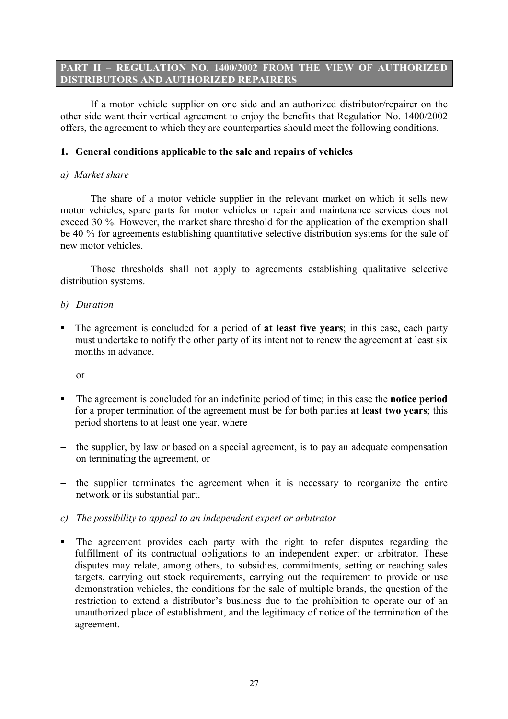# PART II – REGULATION NO. 1400/2002 FROM THE VIEW OF AUTHORIZED DISTRIBUTORS AND AUTHORIZED REPAIRERS

 If a motor vehicle supplier on one side and an authorized distributor/repairer on the other side want their vertical agreement to enjoy the benefits that Regulation No. 1400/2002 offers, the agreement to which they are counterparties should meet the following conditions.

# 1. General conditions applicable to the sale and repairs of vehicles

## a) Market share

 The share of a motor vehicle supplier in the relevant market on which it sells new motor vehicles, spare parts for motor vehicles or repair and maintenance services does not exceed 30 %. However, the market share threshold for the application of the exemption shall be 40 % for agreements establishing quantitative selective distribution systems for the sale of new motor vehicles.

 Those thresholds shall not apply to agreements establishing qualitative selective distribution systems.

# b) Duration

The agreement is concluded for a period of at least five years; in this case, each party must undertake to notify the other party of its intent not to renew the agreement at least six months in advance.

or

- The agreement is concluded for an indefinite period of time; in this case the **notice period** for a proper termination of the agreement must be for both parties at least two years; this period shortens to at least one year, where
- − the supplier, by law or based on a special agreement, is to pay an adequate compensation on terminating the agreement, or
- − the supplier terminates the agreement when it is necessary to reorganize the entire network or its substantial part.
- c) The possibility to appeal to an independent expert or arbitrator
- The agreement provides each party with the right to refer disputes regarding the fulfillment of its contractual obligations to an independent expert or arbitrator. These disputes may relate, among others, to subsidies, commitments, setting or reaching sales targets, carrying out stock requirements, carrying out the requirement to provide or use demonstration vehicles, the conditions for the sale of multiple brands, the question of the restriction to extend a distributor's business due to the prohibition to operate our of an unauthorized place of establishment, and the legitimacy of notice of the termination of the agreement.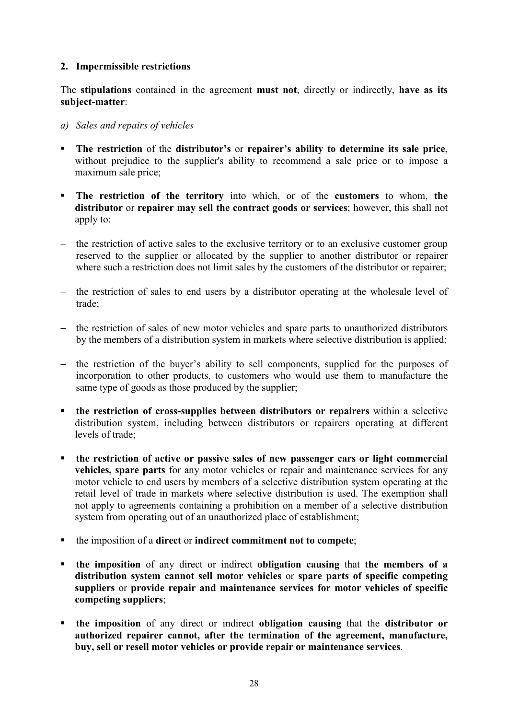# 2. Impermissible restrictions

The stipulations contained in the agreement must not, directly or indirectly, have as its subject-matter:

- a) Sales and repairs of vehicles
- The restriction of the distributor's or repairer's ability to determine its sale price, without prejudice to the supplier's ability to recommend a sale price or to impose a maximum sale price;
- **The restriction of the territory** into which, or of the customers to whom, the distributor or repairer may sell the contract goods or services; however, this shall not apply to:
- − the restriction of active sales to the exclusive territory or to an exclusive customer group reserved to the supplier or allocated by the supplier to another distributor or repairer where such a restriction does not limit sales by the customers of the distributor or repairer;
- − the restriction of sales to end users by a distributor operating at the wholesale level of trade;
- − the restriction of sales of new motor vehicles and spare parts to unauthorized distributors by the members of a distribution system in markets where selective distribution is applied;
- − the restriction of the buyer's ability to sell components, supplied for the purposes of incorporation to other products, to customers who would use them to manufacture the same type of goods as those produced by the supplier;
- **the restriction of cross-supplies between distributors or repairers** within a selective distribution system, including between distributors or repairers operating at different levels of trade;
- the restriction of active or passive sales of new passenger cars or light commercial vehicles, spare parts for any motor vehicles or repair and maintenance services for any motor vehicle to end users by members of a selective distribution system operating at the retail level of trade in markets where selective distribution is used. The exemption shall not apply to agreements containing a prohibition on a member of a selective distribution system from operating out of an unauthorized place of establishment;
- the imposition of a direct or indirect commitment not to compete;
- the imposition of any direct or indirect obligation causing that the members of a distribution system cannot sell motor vehicles or spare parts of specific competing suppliers or provide repair and maintenance services for motor vehicles of specific competing suppliers;
- the imposition of any direct or indirect obligation causing that the distributor or authorized repairer cannot, after the termination of the agreement, manufacture, buy, sell or resell motor vehicles or provide repair or maintenance services.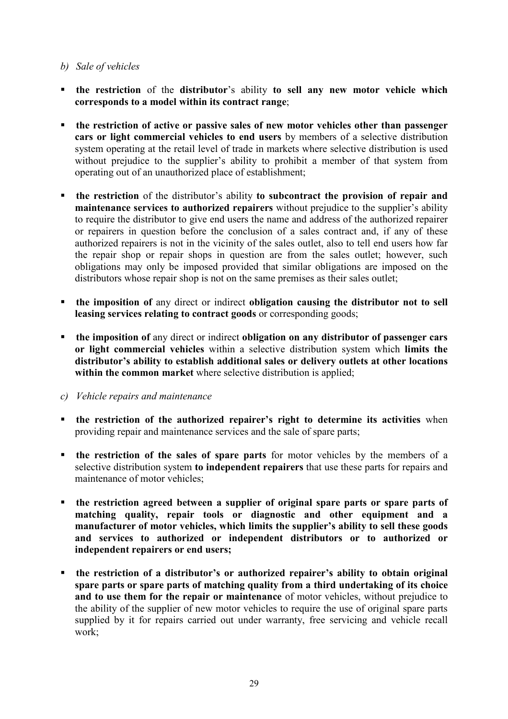# b) Sale of vehicles

- **the restriction** of the distributor's ability to sell any new motor vehicle which corresponds to a model within its contract range;
- the restriction of active or passive sales of new motor vehicles other than passenger cars or light commercial vehicles to end users by members of a selective distribution system operating at the retail level of trade in markets where selective distribution is used without prejudice to the supplier's ability to prohibit a member of that system from operating out of an unauthorized place of establishment;
- **the restriction** of the distributor's ability to subcontract the provision of repair and maintenance services to authorized repairers without prejudice to the supplier's ability to require the distributor to give end users the name and address of the authorized repairer or repairers in question before the conclusion of a sales contract and, if any of these authorized repairers is not in the vicinity of the sales outlet, also to tell end users how far the repair shop or repair shops in question are from the sales outlet; however, such obligations may only be imposed provided that similar obligations are imposed on the distributors whose repair shop is not on the same premises as their sales outlet;
- **the imposition of any direct or indirect obligation causing the distributor not to sell** leasing services relating to contract goods or corresponding goods;
- **the imposition of any direct or indirect obligation on any distributor of passenger cars** or light commercial vehicles within a selective distribution system which limits the distributor's ability to establish additional sales or delivery outlets at other locations within the common market where selective distribution is applied;
- c) Vehicle repairs and maintenance
- the restriction of the authorized repairer's right to determine its activities when providing repair and maintenance services and the sale of spare parts;
- **the restriction of the sales of spare parts** for motor vehicles by the members of a selective distribution system to independent repairers that use these parts for repairs and maintenance of motor vehicles;
- the restriction agreed between a supplier of original spare parts or spare parts of matching quality, repair tools or diagnostic and other equipment and a manufacturer of motor vehicles, which limits the supplier's ability to sell these goods and services to authorized or independent distributors or to authorized or independent repairers or end users;
- the restriction of a distributor's or authorized repairer's ability to obtain original spare parts or spare parts of matching quality from a third undertaking of its choice and to use them for the repair or maintenance of motor vehicles, without prejudice to the ability of the supplier of new motor vehicles to require the use of original spare parts supplied by it for repairs carried out under warranty, free servicing and vehicle recall work;